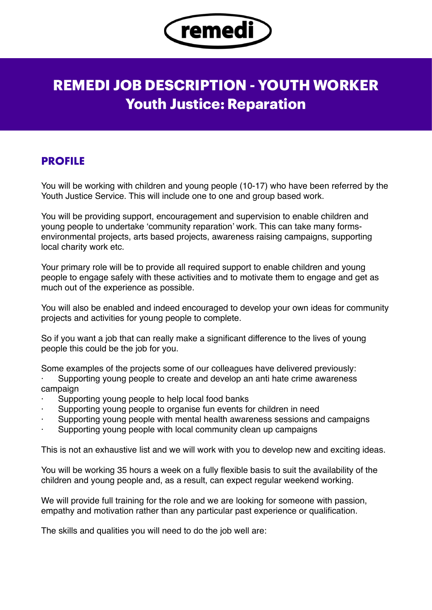

## **REMEDI JOB DESCRIPTION - YOUTH WORKER Youth Justice: Reparation**

## **PROFILE**

You will be working with children and young people (10-17) who have been referred by the Youth Justice Service. This will include one to one and group based work.

You will be providing support, encouragement and supervision to enable children and young people to undertake 'community reparation' work. This can take many formsenvironmental projects, arts based projects, awareness raising campaigns, supporting local charity work etc.

Your primary role will be to provide all required support to enable children and young people to engage safely with these activities and to motivate them to engage and get as much out of the experience as possible.

You will also be enabled and indeed encouraged to develop your own ideas for community projects and activities for young people to complete.

So if you want a job that can really make a significant difference to the lives of young people this could be the job for you.

Some examples of the projects some of our colleagues have delivered previously:

Supporting young people to create and develop an anti hate crime awareness campaign

- Supporting young people to help local food banks
- Supporting young people to organise fun events for children in need
- Supporting young people with mental health awareness sessions and campaigns
- Supporting young people with local community clean up campaigns

This is not an exhaustive list and we will work with you to develop new and exciting ideas.

You will be working 35 hours a week on a fully flexible basis to suit the availability of the children and young people and, as a result, can expect regular weekend working.

We will provide full training for the role and we are looking for someone with passion, empathy and motivation rather than any particular past experience or qualification.

The skills and qualities you will need to do the job well are: